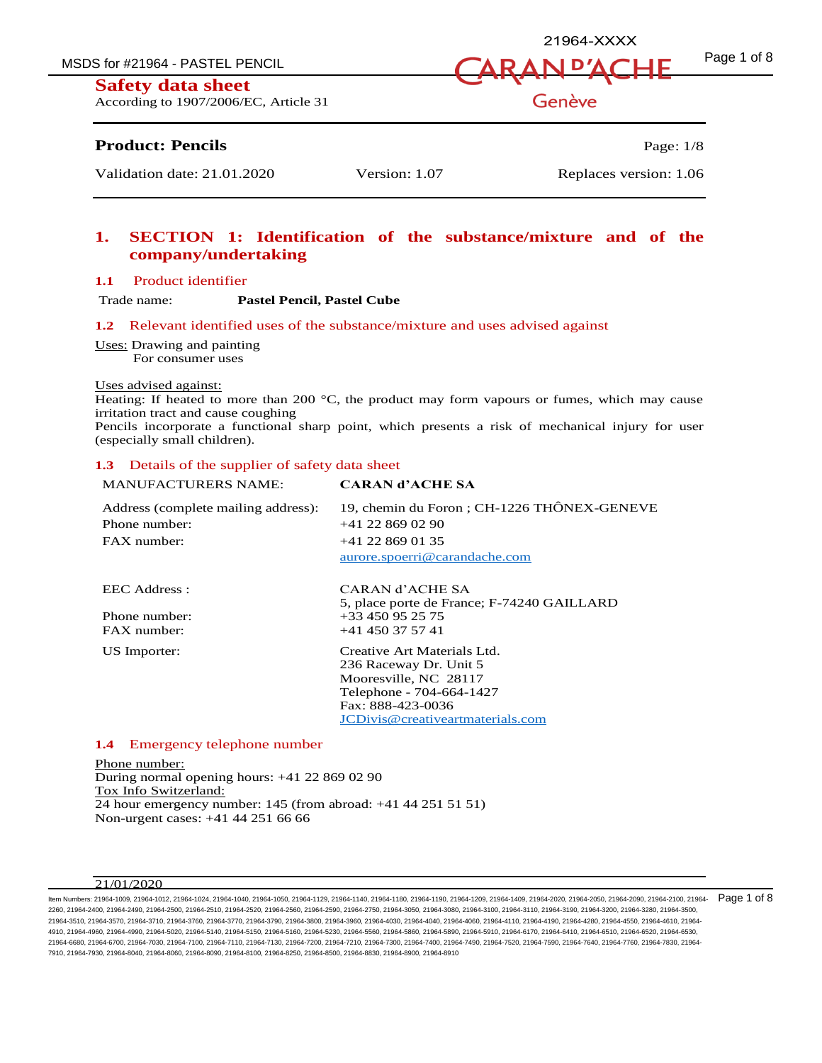MSDS for #21964 - PASTEL PENCIL  $\overline{A}$   $\overline{A}$   $\overline{B}$   $\overline{A}$   $\overline{D}$   $\overline{A}$   $\overline{C}$   $\overline{H}$   $\overline{F}$   $\overline{P}$   $\overline{P}$   $\overline{P}$   $\overline{P}$   $\overline{P}$   $\overline{P}$   $\overline{P}$   $\overline{P}$   $\overline{P}$   $\overline{P}$   $\overline{P}$   $\overline{P}$ 

## **Safety data sheet**

According to 1907/2006/EC, Article 31

## **Product: Pencils** Page: 1/8

# **1. SECTION 1: Identification of the substance/mixture and of the company/undertaking**

#### **1.1** Product identifier

Trade name: **Pastel Pencil, Pastel Cube**

#### **1.2** Relevant identified uses of the substance/mixture and uses advised against

Uses: Drawing and painting For consumer uses

#### Uses advised against:

Heating: If heated to more than 200  $^{\circ}$ C, the product may form vapours or fumes, which may cause irritation tract and cause coughing

Pencils incorporate a functional sharp point, which presents a risk of mechanical injury for user (especially small children).

#### **1.3** Details of the supplier of safety data sheet

| <b>MANUFACTURERS NAME:</b>                           | <b>CARAN d'ACHE SA</b>                                                                                                                                              |
|------------------------------------------------------|---------------------------------------------------------------------------------------------------------------------------------------------------------------------|
| Address (complete mailing address):<br>Phone number: | 19, chemin du Foron ; CH-1226 THÔNEX-GENEVE<br>$+41$ 22 869 02 90                                                                                                   |
| FAX number:                                          | $+41$ 22 869 01 35<br>aurore.spoerri@carandache.com                                                                                                                 |
| EEC Address :                                        | CARAN d'ACHE SA<br>5, place porte de France; F-74240 GAILLARD                                                                                                       |
| Phone number:<br>FAX number:                         | $+33450952575$<br>$+41$ 450 37 57 41                                                                                                                                |
| US Importer:                                         | Creative Art Materials Ltd.<br>236 Raceway Dr. Unit 5<br>Mooresville, NC 28117<br>Telephone - 704-664-1427<br>Fax: 888-423-0036<br>JCDivis@creativeartmaterials.com |

## **1.4** Emergency telephone number

Phone number: During normal opening hours: +41 22 869 02 90 Tox Info Switzerland: 24 hour emergency number: 145 (from abroad: +41 44 251 51 51) Non-urgent cases: +41 44 251 66 66

#### $21/01/2020$

ltem Numbers: 21964-1009, 21964-1012, 21964-1040, 21964-1040, 21964-1050, 21964-1129, 21964-1140, 21964-1190, 21964-1209, 21964-1409, 21964-2020, 21964-2050, 21964-2090, 21964-2010, 21964-2100, 21964-2090, 21964-2090, 2196 2260, 21964-2400, 21964-2490, 21964-2500, 21964-2510, 21964-2520, 21964-2560, 21964-2590, 21964-2750, 21964-3050, 21964-3080, 21964-3100, 21964-3110, 21964-3190, 21964-3200, 21964-3280, 21964-3500, 21964-3510, 21964-3570, 21964-3710, 21964-3760, 21964-3770, 21964-3790, 21964-3800, 21964-3960, 21964-4030, 21964-4040, 21964-4060, 21964-4110, 21964-4190, 21964-4280, 21964-4550, 21964-4610, 21964- 4910, 21964-4960, 21964-4990, 21964-5020, 21964-5140, 21964-5150, 21964-5160, 21964-5230, 21964-5560, 21964-5860, 21964-5890, 21964-5910, 21964-6170, 21964-6410, 21964-6510, 21964-6520, 21964-6530, 21964-6680, 21964-6700, 21964-7030, 21964-7100, 21964-7110, 21964-7130, 21964-7200, 21964-7210, 21964-7300, 21964-7400, 21964-7490, 21964-7520, 21964-7590, 21964-7640, 21964-7760, 21964-7830, 21964- 7910, 21964-7930, 21964-8040, 21964-8060, 21964-8090, 21964-8100, 21964-8250, 21964-8500, 21964-8830, 21964-8900, 21964-8910

Genève

21964-XXXX

Validation date: 21.01.2020 Version: 1.07 Replaces version: 1.06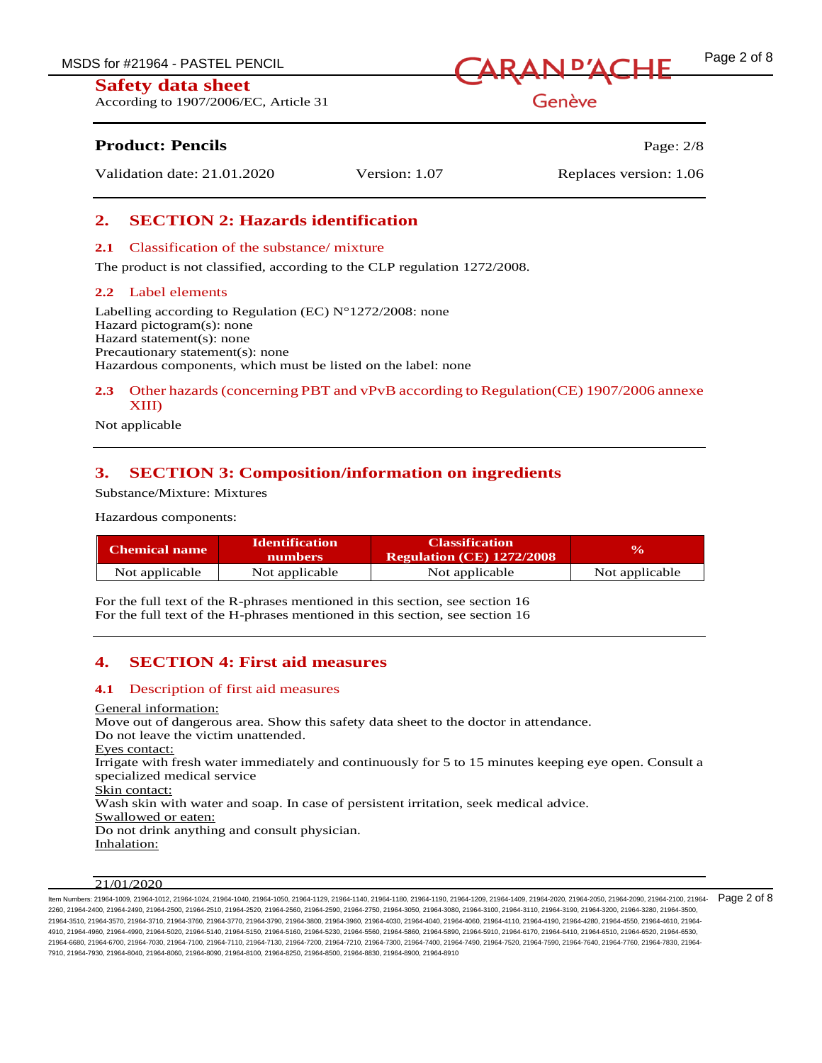According to 1907/2006/EC, Article 31



Genève

# **Product: Pencils Page: 2/8**

Validation date: 21.01.2020 Version: 1.07 Replaces version: 1.06

# **2. SECTION 2: Hazards identification**

## **2.1** Classification of the substance/ mixture

The product is not classified, according to the CLP regulation 1272/2008.

## **2.2** Label elements

Labelling according to Regulation (EC)  $N^{\circ}1272/2008$ : none Hazard pictogram(s): none Hazard statement(s): none Precautionary statement(s): none Hazardous components, which must be listed on the label: none

## **2.3** Other hazards (concerning PBT and vPvB according to Regulation(CE) 1907/2006 annexe XIII)

Not applicable

# **3. SECTION 3: Composition/information on ingredients**

Substance/Mixture: Mixtures

Hazardous components:

| Chemical name  | <b>Identification</b><br><b>numbers</b> | <b>Classification</b><br><b>Regulation (CE) 1272/2008</b> | $\mathbf{v}_0$ |
|----------------|-----------------------------------------|-----------------------------------------------------------|----------------|
| Not applicable | Not applicable                          | Not applicable                                            | Not applicable |

For the full text of the R-phrases mentioned in this section, see section 16 For the full text of the H-phrases mentioned in this section, see section 16

# **4. SECTION 4: First aid measures**

## **4.1** Description of first aid measures

General information: Move out of dangerous area. Show this safety data sheet to the doctor in attendance. Do not leave the victim unattended. Eyes contact: Irrigate with fresh water immediately and continuously for 5 to 15 minutes keeping eye open. Consult a specialized medical service Skin contact: Wash skin with water and soap. In case of persistent irritation, seek medical advice. Swallowed or eaten: Do not drink anything and consult physician. Inhalation:

## $21/01/2020$

ltem Numbers: 21964-1009, 21964-1012, 21964-1040, 21964-1040, 21964-1050, 21964-1129, 21964-1140, 21964-1190, 21964-1190, 21964-1409, 21964-2020, 21964-2050, 21964-2050, 21964-2050, 21964-2010, 21964-2010, 21964-2010, 2196 2260, 21964-2400, 21964-2490, 21964-2500, 21964-2510, 21964-2520, 21964-2560, 21964-2590, 21964-2750, 21964-3050, 21964-3080, 21964-3100, 21964-3110, 21964-3190, 21964-3200, 21964-3280, 21964-3500, 21964-3510, 21964-3570, 21964-3710, 21964-3760, 21964-3770, 21964-3790, 21964-3800, 21964-3960, 21964-4030, 21964-4040, 21964-4060, 21964-4110, 21964-4190, 21964-4280, 21964-4550, 21964-4610, 21964- 4910, 21964-4960, 21964-4990, 21964-5020, 21964-5140, 21964-5150, 21964-5160, 21964-5230, 21964-5560, 21964-5860, 21964-5890, 21964-5910, 21964-6170, 21964-6410, 21964-6510, 21964-6520, 21964-6530, 21964-6680, 21964-6700, 21964-7030, 21964-7100, 21964-7110, 21964-7130, 21964-7200, 21964-7210, 21964-7300, 21964-7400, 21964-7490, 21964-7520, 21964-7590, 21964-7640, 21964-7760, 21964-7830, 21964- 7910, 21964-7930, 21964-8040, 21964-8060, 21964-8090, 21964-8100, 21964-8250, 21964-8500, 21964-8830, 21964-8900, 21964-8910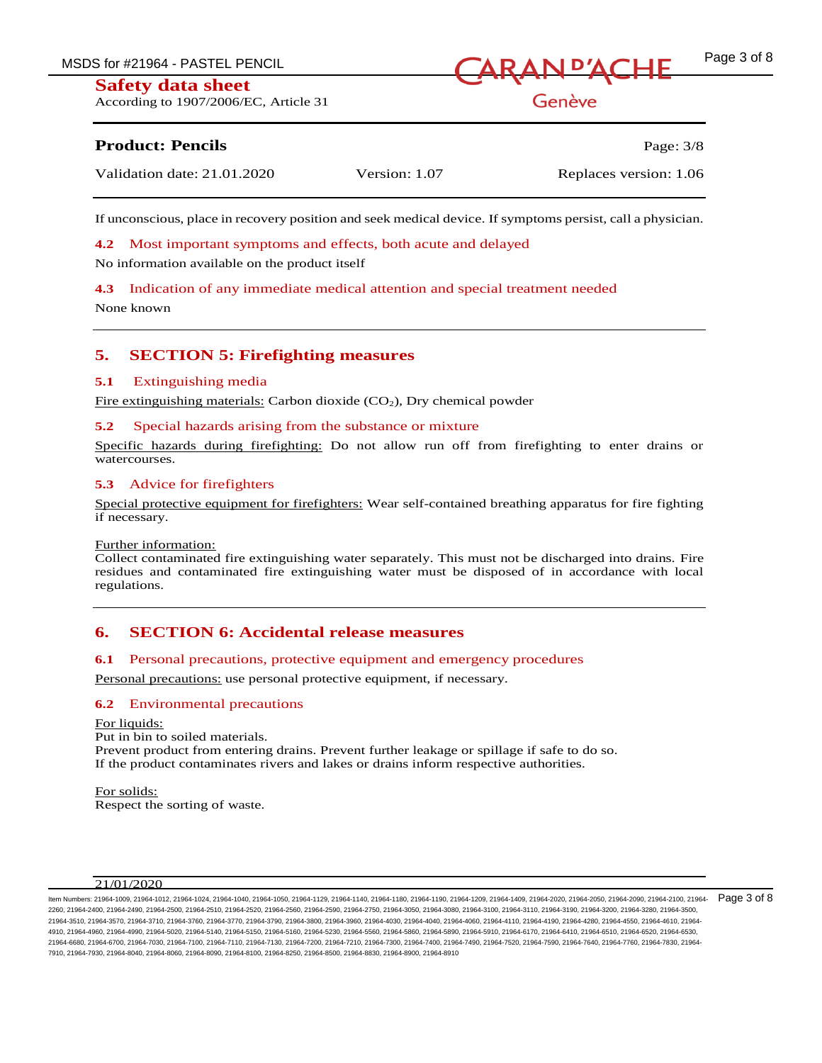MSDS for #21964 - PASTEL PENCIL  $\bigcap$   $\bigcap$   $\bigcap$   $\bigcap$   $\bigcap$   $\bigcap$   $\bigcap$   $\bigcap$   $\bigcap$   $\bigcap$   $\bigcap$   $\bigcap$   $\bigcap$   $\bigcap$   $\bigcap$   $\bigcap$   $\bigcap$   $\bigcap$   $\bigcap$   $\bigcap$   $\bigcap$   $\bigcap$   $\bigcap$   $\bigcap$   $\bigcap$   $\bigcap$   $\bigcap$   $\bigcap$   $\bigcap$   $\bigcap$   $\bigcap$   $\big$ 

According to 1907/2006/EC, Article 31

Genève

# **Product: Pencils** Page: 3/8

Validation date: 21.01.2020 Version: 1.07 Replaces version: 1.06

If unconscious, place in recovery position and seek medical device. If symptoms persist, call a physician.

**4.2** Most important symptoms and effects, both acute and delayed

No information available on the product itself

**4.3** Indication of any immediate medical attention and special treatment needed

None known

# **5. SECTION 5: Firefighting measures**

## **5.1** Extinguishing media

Fire extinguishing materials: Carbon dioxide  $(CO<sub>2</sub>)$ , Dry chemical powder

## **5.2** Special hazards arising from the substance or mixture

Specific hazards during firefighting: Do not allow run off from firefighting to enter drains or watercourses.

## **5.3** Advice for firefighters

Special protective equipment for firefighters: Wear self-contained breathing apparatus for fire fighting if necessary.

#### Further information:

Collect contaminated fire extinguishing water separately. This must not be discharged into drains. Fire residues and contaminated fire extinguishing water must be disposed of in accordance with local regulations.

## **6. SECTION 6: Accidental release measures**

## **6.1** Personal precautions, protective equipment and emergency procedures

Personal precautions: use personal protective equipment, if necessary.

## **6.2** Environmental precautions

For liquids: Put in bin to soiled materials. Prevent product from entering drains. Prevent further leakage or spillage if safe to do so. If the product contaminates rivers and lakes or drains inform respective authorities.

For solids: Respect the sorting of waste.

## 21/01/2020

ltem Numbers: 21964-1009, 21964-1012, 21964-1040, 21964-1040, 21964-1050, 21964-1129, 21964-1140, 21964-1190, 21964-1190, 21964-1409, 21964-2020, 21964-2050, 21964-2090, 21964-2010, 21964-2100, 21964-2010, 21964-2010, 2196 2260, 21964-2400, 21964-2490, 21964-2500, 21964-2510, 21964-2520, 21964-2560, 21964-2590, 21964-2750, 21964-3050, 21964-3080, 21964-3100, 21964-3110, 21964-3190, 21964-3200, 21964-3280, 21964-3500, 21964-3510, 21964-3570, 21964-3710, 21964-3760, 21964-3770, 21964-3790, 21964-3800, 21964-3960, 21964-4030, 21964-4040, 21964-4060, 21964-4110, 21964-4190, 21964-4280, 21964-4550, 21964-4610, 21964- 4910, 21964-4960, 21964-4990, 21964-5020, 21964-5140, 21964-5150, 21964-5160, 21964-5230, 21964-5560, 21964-5860, 21964-5890, 21964-5910, 21964-6170, 21964-6410, 21964-6510, 21964-6520, 21964-6530, 21964-6680, 21964-6700, 21964-7030, 21964-7100, 21964-7110, 21964-7130, 21964-7200, 21964-7210, 21964-7300, 21964-7400, 21964-7490, 21964-7520, 21964-7590, 21964-7640, 21964-7760, 21964-7830, 21964- 7910, 21964-7930, 21964-8040, 21964-8060, 21964-8090, 21964-8100, 21964-8250, 21964-8500, 21964-8830, 21964-8900, 21964-8910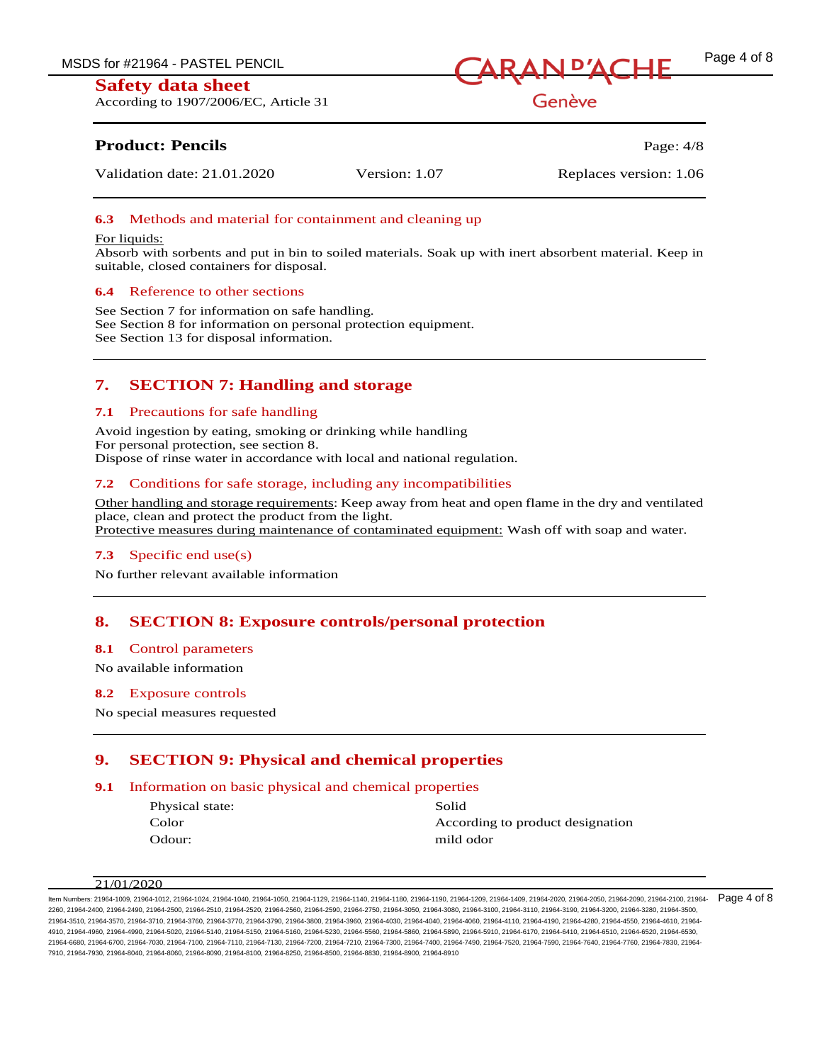According to 1907/2006/EC, Article 31



Genève

# **Product: Pencils** Page: 4/8

Validation date: 21.01.2020 Version: 1.07 Replaces version: 1.06

## **6.3** Methods and material for containment and cleaning up

#### For liquids:

Absorb with sorbents and put in bin to soiled materials. Soak up with inert absorbent material. Keep in suitable, closed containers for disposal.

#### **6.4** Reference to other sections

See Section 7 for information on safe handling. See Section 8 for information on personal protection equipment. See Section 13 for disposal information.

# **7. SECTION 7: Handling and storage**

#### **7.1** Precautions for safe handling

Avoid ingestion by eating, smoking or drinking while handling For personal protection, see section 8. Dispose of rinse water in accordance with local and national regulation.

## **7.2** Conditions for safe storage, including any incompatibilities

Other handling and storage requirements: Keep away from heat and open flame in the dry and ventilated place, clean and protect the product from the light. Protective measures during maintenance of contaminated equipment: Wash off with soap and water.

## **7.3** Specific end use(s)

No further relevant available information

## **8. SECTION 8: Exposure controls/personal protection**

#### **8.1** Control parameters

No available information

## **8.2** Exposure controls

No special measures requested

# **9. SECTION 9: Physical and chemical properties**

## **9.1** Information on basic physical and chemical properties

| Physical state: | Solid                            |
|-----------------|----------------------------------|
| Color           | According to product designation |
| Odour:          | mild odor                        |

#### 21/01/2020

ltem Numbers: 21964-1009, 21964-1012, 21964-1040, 21964-1040, 21964-1050, 21964-1129, 21964-1140, 21964-1190, 21964-1190, 21964-1409, 21964-2020, 21964-2050, 21964-2090, 21964-2010, 21964-2100, 21964-2010, 21964-2010, 2196 2260, 21964-2400, 21964-2490, 21964-2500, 21964-2510, 21964-2520, 21964-2560, 21964-2590, 21964-2750, 21964-3050, 21964-3080, 21964-3100, 21964-3110, 21964-3190, 21964-3200, 21964-3280, 21964-3500, 21964-3510, 21964-3570, 21964-3710, 21964-3760, 21964-3770, 21964-3790, 21964-3800, 21964-3960, 21964-4030, 21964-4040, 21964-4060, 21964-4110, 21964-4190, 21964-4280, 21964-4550, 21964-4610, 21964- 4910, 21964-4960, 21964-4990, 21964-5020, 21964-5140, 21964-5150, 21964-5160, 21964-5230, 21964-5560, 21964-5860, 21964-5890, 21964-5910, 21964-6170, 21964-6410, 21964-6510, 21964-6520, 21964-6530, 21964-6680, 21964-6700, 21964-7030, 21964-7100, 21964-7110, 21964-7130, 21964-7200, 21964-7210, 21964-7300, 21964-7400, 21964-7490, 21964-7520, 21964-7590, 21964-7640, 21964-7760, 21964-7830, 21964- 7910, 21964-7930, 21964-8040, 21964-8060, 21964-8090, 21964-8100, 21964-8250, 21964-8500, 21964-8830, 21964-8900, 21964-8910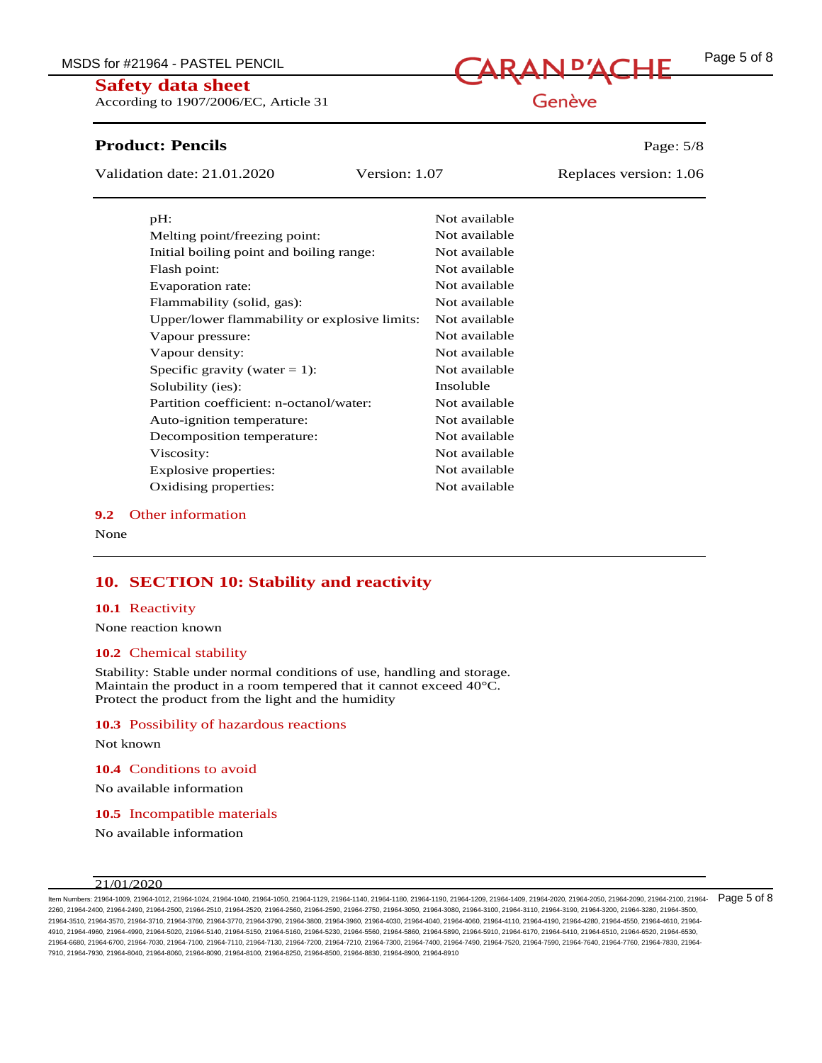According to 1907/2006/EC, Article 31

## **Product: Pencils Page: 5/8**

Validation date: 21.01.2020 Version: 1.07 Replaces version: 1.06

| pH:                                           | Not available |
|-----------------------------------------------|---------------|
| Melting point/freezing point:                 | Not available |
| Initial boiling point and boiling range:      | Not available |
| Flash point:                                  | Not available |
| Evaporation rate:                             | Not available |
| Flammability (solid, gas):                    | Not available |
| Upper/lower flammability or explosive limits: | Not available |
| Vapour pressure:                              | Not available |
| Vapour density:                               | Not available |
| Specific gravity (water $= 1$ ):              | Not available |
| Solubility (ies):                             | Insoluble     |
| Partition coefficient: n-octanol/water:       | Not available |
| Auto-ignition temperature:                    | Not available |
| Decomposition temperature:                    | Not available |
| Viscosity:                                    | Not available |
| Explosive properties:                         | Not available |
| Oxidising properties:                         | Not available |

#### **9.2** Other information

None

# **10. SECTION 10: Stability and reactivity**

#### **10.1** Reactivity

None reaction known

#### **10.2** Chemical stability

Stability: Stable under normal conditions of use, handling and storage. Maintain the product in a room tempered that it cannot exceed 40°C. Protect the product from the light and the humidity

#### **10.3** Possibility of hazardous reactions

Not known

**10.4** Conditions to avoid

No available information

**10.5** Incompatible materials

No available information

#### 21/01/2020

ltem Numbers: 21964-1009, 21964-1012, 21964-1040, 21964-1040, 21964-1050, 21964-1129, 21964-1140, 21964-1190, 21964-1190, 21964-1409, 21964-2020, 21964-2050, 21964-2050, 21964-2050, 21964-2010, 21964-2010, 21964-2010, 2196 2260, 21964-2400, 21964-2490, 21964-2500, 21964-2510, 21964-2520, 21964-2560, 21964-2590, 21964-2750, 21964-3050, 21964-3080, 21964-3100, 21964-3110, 21964-3190, 21964-3200, 21964-3280, 21964-3500, 21964-3510, 21964-3570, 21964-3710, 21964-3760, 21964-3770, 21964-3790, 21964-3800, 21964-3960, 21964-4030, 21964-4040, 21964-4060, 21964-4110, 21964-4190, 21964-4280, 21964-4550, 21964-4610, 21964- 4910, 21964-4960, 21964-4990, 21964-5020, 21964-5140, 21964-5150, 21964-5160, 21964-5230, 21964-5560, 21964-5860, 21964-5890, 21964-5910, 21964-6170, 21964-6410, 21964-6510, 21964-6520, 21964-6530, 21964-6680, 21964-6700, 21964-7030, 21964-7100, 21964-7110, 21964-7130, 21964-7200, 21964-7210, 21964-7300, 21964-7400, 21964-7490, 21964-7520, 21964-7590, 21964-7640, 21964-7760, 21964-7830, 21964- 7910, 21964-7930, 21964-8040, 21964-8060, 21964-8090, 21964-8100, 21964-8250, 21964-8500, 21964-8830, 21964-8900, 21964-8910

# Genève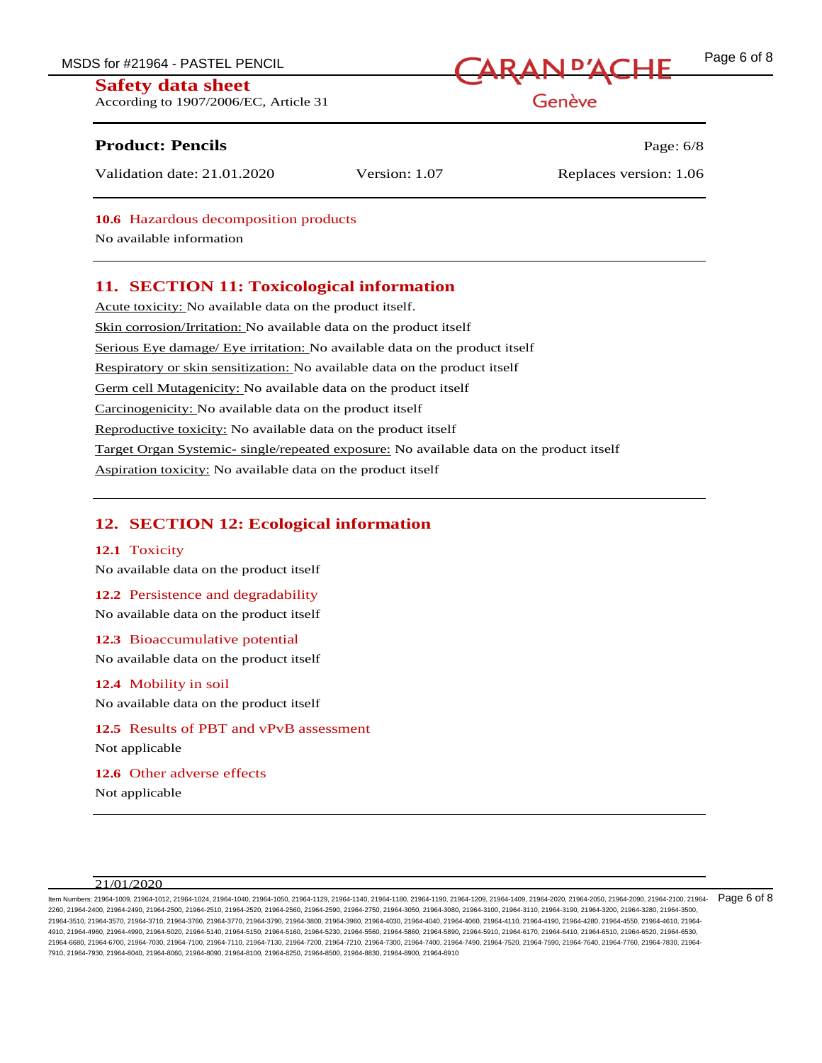MSDS for #21964 - PASTEL PENCIL **CARAN D'ACHE** Page 6 of 8

## **Safety data sheet**

According to 1907/2006/EC, Article 31

## **Product: Pencils Page: 6/8**

Validation date: 21.01.2020 Version: 1.07 Replaces version: 1.06

**10.6** Hazardous decomposition products

No available information

# **11. SECTION 11: Toxicological information**

Acute toxicity: No available data on the product itself. Skin corrosion/Irritation: No available data on the product itself Serious Eye damage/ Eye irritation: No available data on the product itself Respiratory or skin sensitization: No available data on the product itself Germ cell Mutagenicity: No available data on the product itself Carcinogenicity: No available data on the product itself Reproductive toxicity: No available data on the product itself Target Organ Systemic- single/repeated exposure: No available data on the product itself Aspiration toxicity: No available data on the product itself

# **12. SECTION 12: Ecological information**

## **12.1** Toxicity

No available data on the product itself

## **12.2** Persistence and degradability

No available data on the product itself

**12.3** Bioaccumulative potential

No available data on the product itself

## **12.4** Mobility in soil

No available data on the product itself

**12.5** Results of PBT and vPvB assessment Not applicable

**12.6** Other adverse effects

21/01/2020

ltem Numbers: 21964-1009, 21964-1012, 21964-1040, 21964-1040, 21964-1050, 21964-1129, 21964-1140, 21964-1190, 21964-1190, 21964-1409, 21964-2020, 21964-2050, 21964-2090, 21964-2010, 21964-2100, 21964-2010, 21964-2010, 2196 2260, 21964-2400, 21964-2490, 21964-2500, 21964-2510, 21964-2520, 21964-2560, 21964-2590, 21964-2750, 21964-3050, 21964-3080, 21964-3100, 21964-3110, 21964-3190, 21964-3200, 21964-3280, 21964-3500, 21964-3510, 21964-3570, 21964-3710, 21964-3760, 21964-3770, 21964-3790, 21964-3800, 21964-3960, 21964-4030, 21964-4040, 21964-4060, 21964-4110, 21964-4190, 21964-4280, 21964-4550, 21964-4610, 21964- 4910, 21964-4960, 21964-4990, 21964-5020, 21964-5140, 21964-5150, 21964-5160, 21964-5230, 21964-5560, 21964-5860, 21964-5890, 21964-5910, 21964-6170, 21964-6410, 21964-6510, 21964-6520, 21964-6530, 21964-6680, 21964-6700, 21964-7030, 21964-7100, 21964-7110, 21964-7130, 21964-7200, 21964-7210, 21964-7300, 21964-7400, 21964-7490, 21964-7520, 21964-7590, 21964-7640, 21964-7760, 21964-7830, 21964- 7910, 21964-7930, 21964-8040, 21964-8060, 21964-8090, 21964-8100, 21964-8250, 21964-8500, 21964-8830, 21964-8900, 21964-8910

Genève



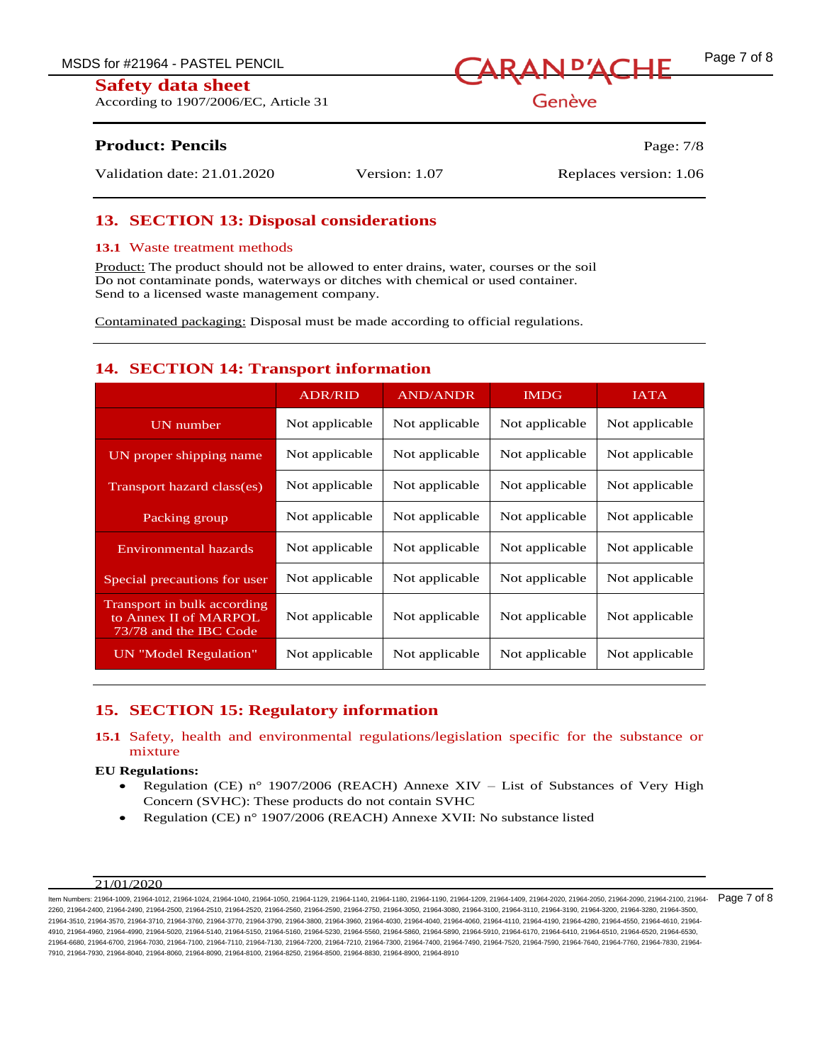According to 1907/2006/EC, Article 31



Genève

# **Product: Pencils** Page: 7/8

Validation date: 21.01.2020 Version: 1.07 Replaces version: 1.06

# **13. SECTION 13: Disposal considerations**

## **13.1** Waste treatment methods

Product: The product should not be allowed to enter drains, water, courses or the soil Do not contaminate ponds, waterways or ditches with chemical or used container. Send to a licensed waste management company.

Contaminated packaging: Disposal must be made according to official regulations.

# **14. SECTION 14: Transport information**

|                                                                                | <b>ADR/RID</b> | <b>AND/ANDR</b> | <b>IMDG</b>    | <b>IATA</b>    |
|--------------------------------------------------------------------------------|----------------|-----------------|----------------|----------------|
| UN number                                                                      | Not applicable | Not applicable  | Not applicable | Not applicable |
| UN proper shipping name                                                        | Not applicable | Not applicable  | Not applicable | Not applicable |
| Transport hazard class(es)                                                     | Not applicable | Not applicable  | Not applicable | Not applicable |
| Packing group                                                                  | Not applicable | Not applicable  | Not applicable | Not applicable |
| Environmental hazards                                                          | Not applicable | Not applicable  | Not applicable | Not applicable |
| Special precautions for user                                                   | Not applicable | Not applicable  | Not applicable | Not applicable |
| Transport in bulk according<br>to Annex II of MARPOL<br>73/78 and the IBC Code | Not applicable | Not applicable  | Not applicable | Not applicable |
| UN "Model Regulation"                                                          | Not applicable | Not applicable  | Not applicable | Not applicable |

# **15. SECTION 15: Regulatory information**

## **15.1** Safety, health and environmental regulations/legislation specific for the substance or mixture

#### **EU Regulations:**

- Regulation (CE) n° 1907/2006 (REACH) Annexe XIV List of Substances of Very High Concern (SVHC): These products do not contain SVHC
- Regulation (CE) n° 1907/2006 (REACH) Annexe XVII: No substance listed

#### $21/01/2020$

ltem Numbers: 21964-1009, 21964-1012, 21964-1040, 21964-1040, 21964-1050, 21964-1129, 21964-1140, 21964-1190, 21964-1209, 21964-1409, 21964-2020, 21964-2050, 21964-2090, 21964-2010, 21964-2100, 21964-2090, 21964-2090, 2196 2260, 21964-2400, 21964-2490, 21964-2500, 21964-2510, 21964-2520, 21964-2560, 21964-2590, 21964-2750, 21964-3050, 21964-3080, 21964-3100, 21964-3110, 21964-3190, 21964-3200, 21964-3280, 21964-3500, 21964-3510, 21964-3570, 21964-3710, 21964-3760, 21964-3770, 21964-3790, 21964-3800, 21964-3960, 21964-4030, 21964-4040, 21964-4060, 21964-4110, 21964-4190, 21964-4280, 21964-4550, 21964-4610, 21964- 4910, 21964-4960, 21964-4990, 21964-5020, 21964-5140, 21964-5150, 21964-5160, 21964-5230, 21964-5560, 21964-5860, 21964-5890, 21964-5910, 21964-6170, 21964-6410, 21964-6510, 21964-6520, 21964-6530, 21964-6680, 21964-6700, 21964-7030, 21964-7100, 21964-7110, 21964-7130, 21964-7200, 21964-7210, 21964-7300, 21964-7400, 21964-7490, 21964-7520, 21964-7590, 21964-7640, 21964-7760, 21964-7830, 21964- 7910, 21964-7930, 21964-8040, 21964-8060, 21964-8090, 21964-8100, 21964-8250, 21964-8500, 21964-8830, 21964-8900, 21964-8910